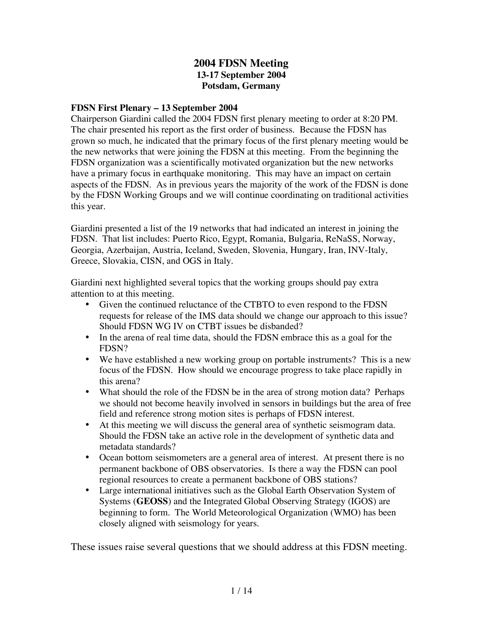#### **2004 FDSN Meeting 13-17 September 2004 Potsdam, Germany**

#### **FDSN First Plenary – 13 September 2004**

Chairperson Giardini called the 2004 FDSN first plenary meeting to order at 8:20 PM. The chair presented his report as the first order of business. Because the FDSN has grown so much, he indicated that the primary focus of the first plenary meeting would be the new networks that were joining the FDSN at this meeting. From the beginning the FDSN organization was a scientifically motivated organization but the new networks have a primary focus in earthquake monitoring. This may have an impact on certain aspects of the FDSN. As in previous years the majority of the work of the FDSN is done by the FDSN Working Groups and we will continue coordinating on traditional activities this year.

Giardini presented a list of the 19 networks that had indicated an interest in joining the FDSN. That list includes: Puerto Rico, Egypt, Romania, Bulgaria, ReNaSS, Norway, Georgia, Azerbaijan, Austria, Iceland, Sweden, Slovenia, Hungary, Iran, INV-Italy, Greece, Slovakia, CISN, and OGS in Italy.

Giardini next highlighted several topics that the working groups should pay extra attention to at this meeting.

- Given the continued reluctance of the CTBTO to even respond to the FDSN requests for release of the IMS data should we change our approach to this issue? Should FDSN WG IV on CTBT issues be disbanded?
- In the arena of real time data, should the FDSN embrace this as a goal for the FDSN?
- We have established a new working group on portable instruments? This is a new focus of the FDSN. How should we encourage progress to take place rapidly in this arena?
- What should the role of the FDSN be in the area of strong motion data? Perhaps we should not become heavily involved in sensors in buildings but the area of free field and reference strong motion sites is perhaps of FDSN interest.
- At this meeting we will discuss the general area of synthetic seismogram data. Should the FDSN take an active role in the development of synthetic data and metadata standards?
- Ocean bottom seismometers are a general area of interest. At present there is no permanent backbone of OBS observatories. Is there a way the FDSN can pool regional resources to create a permanent backbone of OBS stations?
- Large international initiatives such as the Global Earth Observation System of Systems (**GEOSS**) and the Integrated Global Observing Strategy (IGOS) are beginning to form. The World Meteorological Organization (WMO) has been closely aligned with seismology for years.

These issues raise several questions that we should address at this FDSN meeting.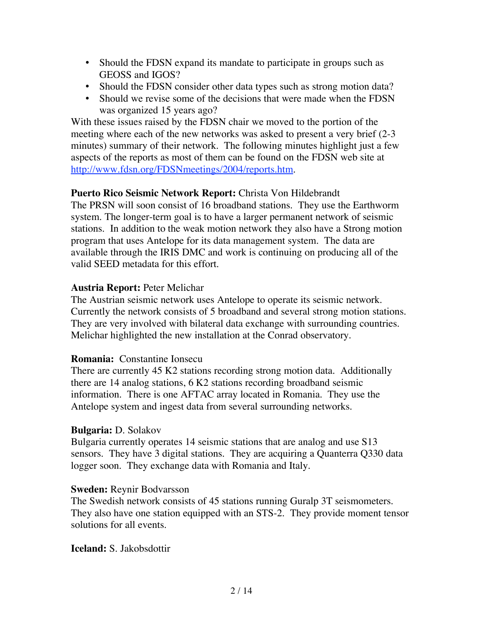- Should the FDSN expand its mandate to participate in groups such as GEOSS and IGOS?
- Should the FDSN consider other data types such as strong motion data?
- Should we revise some of the decisions that were made when the FDSN was organized 15 years ago?

With these issues raised by the FDSN chair we moved to the portion of the meeting where each of the new networks was asked to present a very brief (2-3 minutes) summary of their network. The following minutes highlight just a few aspects of the reports as most of them can be found on the FDSN web site at http://www.fdsn.org/FDSNmeetings/2004/reports.htm.

# **Puerto Rico Seismic Network Report:** Christa Von Hildebrandt

The PRSN will soon consist of 16 broadband stations. They use the Earthworm system. The longer-term goal is to have a larger permanent network of seismic stations. In addition to the weak motion network they also have a Strong motion program that uses Antelope for its data management system. The data are available through the IRIS DMC and work is continuing on producing all of the valid SEED metadata for this effort.

## **Austria Report:** Peter Melichar

The Austrian seismic network uses Antelope to operate its seismic network. Currently the network consists of 5 broadband and several strong motion stations. They are very involved with bilateral data exchange with surrounding countries. Melichar highlighted the new installation at the Conrad observatory.

## **Romania:** Constantine Ionsecu

There are currently 45 K2 stations recording strong motion data. Additionally there are 14 analog stations, 6 K2 stations recording broadband seismic information. There is one AFTAC array located in Romania. They use the Antelope system and ingest data from several surrounding networks.

## **Bulgaria:** D. Solakov

Bulgaria currently operates 14 seismic stations that are analog and use S13 sensors. They have 3 digital stations. They are acquiring a Quanterra Q330 data logger soon. They exchange data with Romania and Italy.

## **Sweden:** Reynir Bodvarsson

The Swedish network consists of 45 stations running Guralp 3T seismometers. They also have one station equipped with an STS-2. They provide moment tensor solutions for all events.

## **Iceland:** S. Jakobsdottir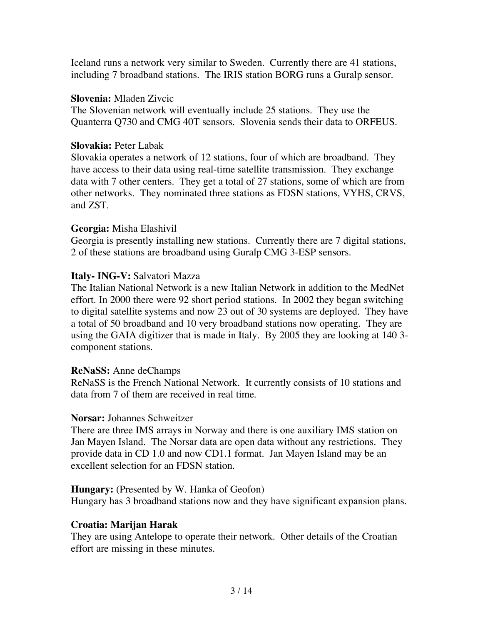Iceland runs a network very similar to Sweden. Currently there are 41 stations, including 7 broadband stations. The IRIS station BORG runs a Guralp sensor.

#### **Slovenia:** Mladen Zivcic

The Slovenian network will eventually include 25 stations. They use the Quanterra Q730 and CMG 40T sensors. Slovenia sends their data to ORFEUS.

#### **Slovakia:** Peter Labak

Slovakia operates a network of 12 stations, four of which are broadband. They have access to their data using real-time satellite transmission. They exchange data with 7 other centers. They get a total of 27 stations, some of which are from other networks. They nominated three stations as FDSN stations, VYHS, CRVS, and ZST.

## **Georgia:** Misha Elashivil

Georgia is presently installing new stations. Currently there are 7 digital stations, 2 of these stations are broadband using Guralp CMG 3-ESP sensors.

## **Italy- ING-V:** Salvatori Mazza

The Italian National Network is a new Italian Network in addition to the MedNet effort. In 2000 there were 92 short period stations. In 2002 they began switching to digital satellite systems and now 23 out of 30 systems are deployed. They have a total of 50 broadband and 10 very broadband stations now operating. They are using the GAIA digitizer that is made in Italy. By 2005 they are looking at 140 3 component stations.

#### **ReNaSS:** Anne deChamps

ReNaSS is the French National Network. It currently consists of 10 stations and data from 7 of them are received in real time.

#### **Norsar:** Johannes Schweitzer

There are three IMS arrays in Norway and there is one auxiliary IMS station on Jan Mayen Island. The Norsar data are open data without any restrictions. They provide data in CD 1.0 and now CD1.1 format. Jan Mayen Island may be an excellent selection for an FDSN station.

#### **Hungary:** (Presented by W. Hanka of Geofon)

Hungary has 3 broadband stations now and they have significant expansion plans.

## **Croatia: Marijan Harak**

They are using Antelope to operate their network. Other details of the Croatian effort are missing in these minutes.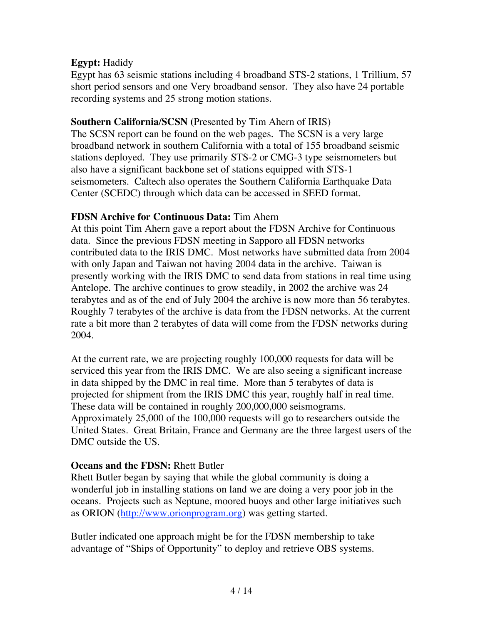# **Egypt:** Hadidy

Egypt has 63 seismic stations including 4 broadband STS-2 stations, 1 Trillium, 57 short period sensors and one Very broadband sensor. They also have 24 portable recording systems and 25 strong motion stations.

## **Southern California/SCSN (**Presented by Tim Ahern of IRIS)

The SCSN report can be found on the web pages. The SCSN is a very large broadband network in southern California with a total of 155 broadband seismic stations deployed. They use primarily STS-2 or CMG-3 type seismometers but also have a significant backbone set of stations equipped with STS-1 seismometers. Caltech also operates the Southern California Earthquake Data Center (SCEDC) through which data can be accessed in SEED format.

# **FDSN Archive for Continuous Data:** Tim Ahern

At this point Tim Ahern gave a report about the FDSN Archive for Continuous data. Since the previous FDSN meeting in Sapporo all FDSN networks contributed data to the IRIS DMC. Most networks have submitted data from 2004 with only Japan and Taiwan not having 2004 data in the archive. Taiwan is presently working with the IRIS DMC to send data from stations in real time using Antelope. The archive continues to grow steadily, in 2002 the archive was 24 terabytes and as of the end of July 2004 the archive is now more than 56 terabytes. Roughly 7 terabytes of the archive is data from the FDSN networks. At the current rate a bit more than 2 terabytes of data will come from the FDSN networks during 2004.

At the current rate, we are projecting roughly 100,000 requests for data will be serviced this year from the IRIS DMC. We are also seeing a significant increase in data shipped by the DMC in real time. More than 5 terabytes of data is projected for shipment from the IRIS DMC this year, roughly half in real time. These data will be contained in roughly 200,000,000 seismograms. Approximately 25,000 of the 100,000 requests will go to researchers outside the United States. Great Britain, France and Germany are the three largest users of the DMC outside the US.

# **Oceans and the FDSN:** Rhett Butler

Rhett Butler began by saying that while the global community is doing a wonderful job in installing stations on land we are doing a very poor job in the oceans. Projects such as Neptune, moored buoys and other large initiatives such as ORION (http://www.orionprogram.org) was getting started.

Butler indicated one approach might be for the FDSN membership to take advantage of "Ships of Opportunity" to deploy and retrieve OBS systems.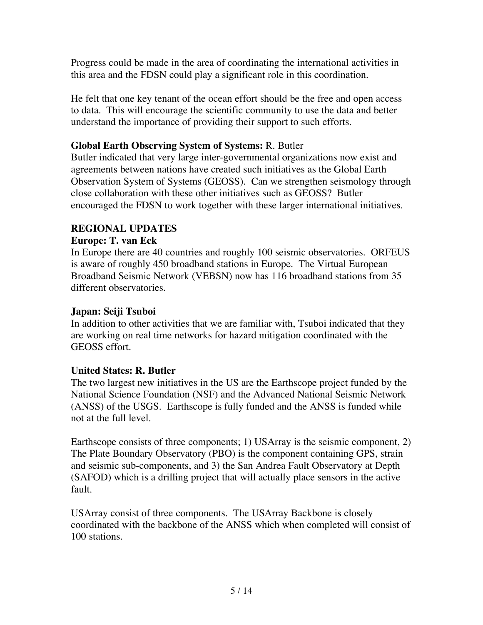Progress could be made in the area of coordinating the international activities in this area and the FDSN could play a significant role in this coordination.

He felt that one key tenant of the ocean effort should be the free and open access to data. This will encourage the scientific community to use the data and better understand the importance of providing their support to such efforts.

# **Global Earth Observing System of Systems:** R. Butler

Butler indicated that very large inter-governmental organizations now exist and agreements between nations have created such initiatives as the Global Earth Observation System of Systems (GEOSS). Can we strengthen seismology through close collaboration with these other initiatives such as GEOSS? Butler encouraged the FDSN to work together with these larger international initiatives.

# **REGIONAL UPDATES**

## **Europe: T. van Eck**

In Europe there are 40 countries and roughly 100 seismic observatories. ORFEUS is aware of roughly 450 broadband stations in Europe. The Virtual European Broadband Seismic Network (VEBSN) now has 116 broadband stations from 35 different observatories.

## **Japan: Seiji Tsuboi**

In addition to other activities that we are familiar with, Tsuboi indicated that they are working on real time networks for hazard mitigation coordinated with the GEOSS effort.

## **United States: R. Butler**

The two largest new initiatives in the US are the Earthscope project funded by the National Science Foundation (NSF) and the Advanced National Seismic Network (ANSS) of the USGS. Earthscope is fully funded and the ANSS is funded while not at the full level.

Earthscope consists of three components; 1) USArray is the seismic component, 2) The Plate Boundary Observatory (PBO) is the component containing GPS, strain and seismic sub-components, and 3) the San Andrea Fault Observatory at Depth (SAFOD) which is a drilling project that will actually place sensors in the active fault.

USArray consist of three components. The USArray Backbone is closely coordinated with the backbone of the ANSS which when completed will consist of 100 stations.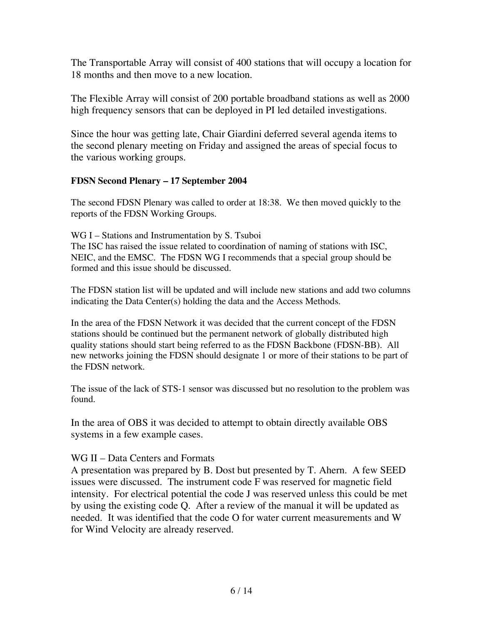The Transportable Array will consist of 400 stations that will occupy a location for 18 months and then move to a new location.

The Flexible Array will consist of 200 portable broadband stations as well as 2000 high frequency sensors that can be deployed in PI led detailed investigations.

Since the hour was getting late, Chair Giardini deferred several agenda items to the second plenary meeting on Friday and assigned the areas of special focus to the various working groups.

#### **FDSN Second Plenary – 17 September 2004**

The second FDSN Plenary was called to order at 18:38. We then moved quickly to the reports of the FDSN Working Groups.

WG I – Stations and Instrumentation by S. Tsuboi The ISC has raised the issue related to coordination of naming of stations with ISC, NEIC, and the EMSC. The FDSN WG I recommends that a special group should be formed and this issue should be discussed.

The FDSN station list will be updated and will include new stations and add two columns indicating the Data Center(s) holding the data and the Access Methods.

In the area of the FDSN Network it was decided that the current concept of the FDSN stations should be continued but the permanent network of globally distributed high quality stations should start being referred to as the FDSN Backbone (FDSN-BB). All new networks joining the FDSN should designate 1 or more of their stations to be part of the FDSN network.

The issue of the lack of STS-1 sensor was discussed but no resolution to the problem was found.

In the area of OBS it was decided to attempt to obtain directly available OBS systems in a few example cases.

## WG II – Data Centers and Formats

A presentation was prepared by B. Dost but presented by T. Ahern. A few SEED issues were discussed. The instrument code F was reserved for magnetic field intensity. For electrical potential the code J was reserved unless this could be met by using the existing code Q. After a review of the manual it will be updated as needed. It was identified that the code O for water current measurements and W for Wind Velocity are already reserved.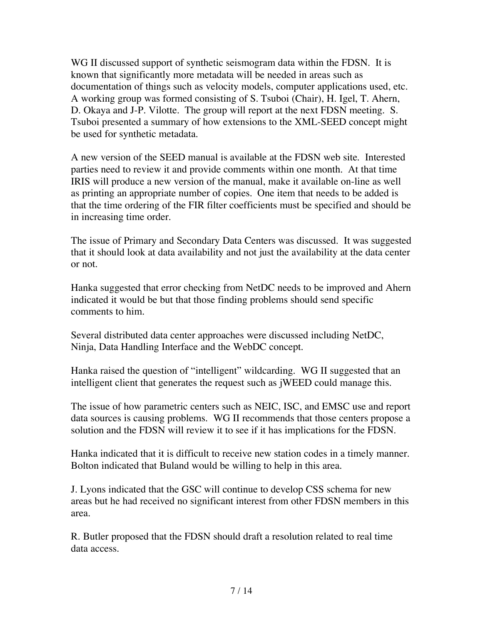WG II discussed support of synthetic seismogram data within the FDSN. It is known that significantly more metadata will be needed in areas such as documentation of things such as velocity models, computer applications used, etc. A working group was formed consisting of S. Tsuboi (Chair), H. Igel, T. Ahern, D. Okaya and J-P. Vilotte. The group will report at the next FDSN meeting. S. Tsuboi presented a summary of how extensions to the XML-SEED concept might be used for synthetic metadata.

A new version of the SEED manual is available at the FDSN web site. Interested parties need to review it and provide comments within one month. At that time IRIS will produce a new version of the manual, make it available on-line as well as printing an appropriate number of copies. One item that needs to be added is that the time ordering of the FIR filter coefficients must be specified and should be in increasing time order.

The issue of Primary and Secondary Data Centers was discussed. It was suggested that it should look at data availability and not just the availability at the data center or not.

Hanka suggested that error checking from NetDC needs to be improved and Ahern indicated it would be but that those finding problems should send specific comments to him.

Several distributed data center approaches were discussed including NetDC, Ninja, Data Handling Interface and the WebDC concept.

Hanka raised the question of "intelligent" wildcarding. WG II suggested that an intelligent client that generates the request such as jWEED could manage this.

The issue of how parametric centers such as NEIC, ISC, and EMSC use and report data sources is causing problems. WG II recommends that those centers propose a solution and the FDSN will review it to see if it has implications for the FDSN.

Hanka indicated that it is difficult to receive new station codes in a timely manner. Bolton indicated that Buland would be willing to help in this area.

J. Lyons indicated that the GSC will continue to develop CSS schema for new areas but he had received no significant interest from other FDSN members in this area.

R. Butler proposed that the FDSN should draft a resolution related to real time data access.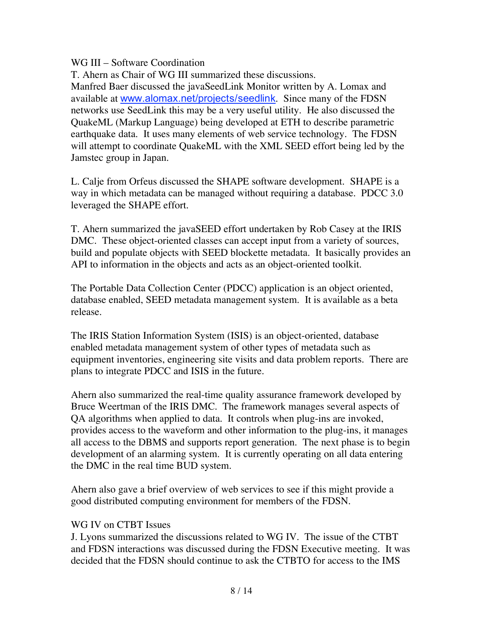# WG III – Software Coordination

T. Ahern as Chair of WG III summarized these discussions.

Manfred Baer discussed the javaSeedLink Monitor written by A. Lomax and available at www.alomax.net/projects/seedlink. Since many of the FDSN networks use SeedLink this may be a very useful utility. He also discussed the QuakeML (Markup Language) being developed at ETH to describe parametric earthquake data. It uses many elements of web service technology. The FDSN will attempt to coordinate QuakeML with the XML SEED effort being led by the Jamstec group in Japan.

L. Calje from Orfeus discussed the SHAPE software development. SHAPE is a way in which metadata can be managed without requiring a database. PDCC 3.0 leveraged the SHAPE effort.

T. Ahern summarized the javaSEED effort undertaken by Rob Casey at the IRIS DMC. These object-oriented classes can accept input from a variety of sources, build and populate objects with SEED blockette metadata. It basically provides an API to information in the objects and acts as an object-oriented toolkit.

The Portable Data Collection Center (PDCC) application is an object oriented, database enabled, SEED metadata management system. It is available as a beta release.

The IRIS Station Information System (ISIS) is an object-oriented, database enabled metadata management system of other types of metadata such as equipment inventories, engineering site visits and data problem reports. There are plans to integrate PDCC and ISIS in the future.

Ahern also summarized the real-time quality assurance framework developed by Bruce Weertman of the IRIS DMC. The framework manages several aspects of QA algorithms when applied to data. It controls when plug-ins are invoked, provides access to the waveform and other information to the plug-ins, it manages all access to the DBMS and supports report generation. The next phase is to begin development of an alarming system. It is currently operating on all data entering the DMC in the real time BUD system.

Ahern also gave a brief overview of web services to see if this might provide a good distributed computing environment for members of the FDSN.

## WG IV on CTBT Issues

J. Lyons summarized the discussions related to WG IV. The issue of the CTBT and FDSN interactions was discussed during the FDSN Executive meeting. It was decided that the FDSN should continue to ask the CTBTO for access to the IMS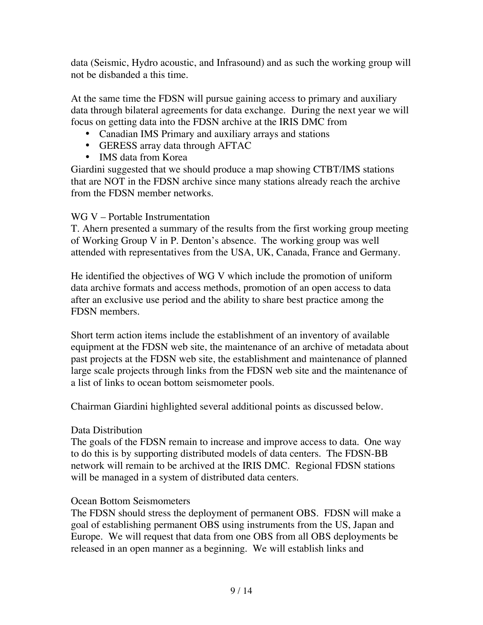data (Seismic, Hydro acoustic, and Infrasound) and as such the working group will not be disbanded a this time.

At the same time the FDSN will pursue gaining access to primary and auxiliary data through bilateral agreements for data exchange. During the next year we will focus on getting data into the FDSN archive at the IRIS DMC from

- Canadian IMS Primary and auxiliary arrays and stations
- GERESS array data through AFTAC
- IMS data from Korea

Giardini suggested that we should produce a map showing CTBT/IMS stations that are NOT in the FDSN archive since many stations already reach the archive from the FDSN member networks.

# WG V – Portable Instrumentation

T. Ahern presented a summary of the results from the first working group meeting of Working Group V in P. Denton's absence. The working group was well attended with representatives from the USA, UK, Canada, France and Germany.

He identified the objectives of WG V which include the promotion of uniform data archive formats and access methods, promotion of an open access to data after an exclusive use period and the ability to share best practice among the FDSN members.

Short term action items include the establishment of an inventory of available equipment at the FDSN web site, the maintenance of an archive of metadata about past projects at the FDSN web site, the establishment and maintenance of planned large scale projects through links from the FDSN web site and the maintenance of a list of links to ocean bottom seismometer pools.

Chairman Giardini highlighted several additional points as discussed below.

## Data Distribution

The goals of the FDSN remain to increase and improve access to data. One way to do this is by supporting distributed models of data centers. The FDSN-BB network will remain to be archived at the IRIS DMC. Regional FDSN stations will be managed in a system of distributed data centers.

# Ocean Bottom Seismometers

The FDSN should stress the deployment of permanent OBS. FDSN will make a goal of establishing permanent OBS using instruments from the US, Japan and Europe. We will request that data from one OBS from all OBS deployments be released in an open manner as a beginning. We will establish links and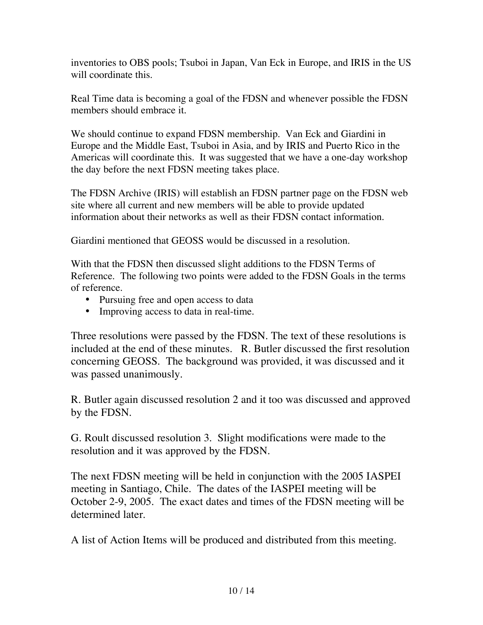inventories to OBS pools; Tsuboi in Japan, Van Eck in Europe, and IRIS in the US will coordinate this.

Real Time data is becoming a goal of the FDSN and whenever possible the FDSN members should embrace it.

We should continue to expand FDSN membership. Van Eck and Giardini in Europe and the Middle East, Tsuboi in Asia, and by IRIS and Puerto Rico in the Americas will coordinate this. It was suggested that we have a one-day workshop the day before the next FDSN meeting takes place.

The FDSN Archive (IRIS) will establish an FDSN partner page on the FDSN web site where all current and new members will be able to provide updated information about their networks as well as their FDSN contact information.

Giardini mentioned that GEOSS would be discussed in a resolution.

With that the FDSN then discussed slight additions to the FDSN Terms of Reference. The following two points were added to the FDSN Goals in the terms of reference.

- Pursuing free and open access to data
- Improving access to data in real-time.

Three resolutions were passed by the FDSN. The text of these resolutions is included at the end of these minutes. R. Butler discussed the first resolution concerning GEOSS. The background was provided, it was discussed and it was passed unanimously.

R. Butler again discussed resolution 2 and it too was discussed and approved by the FDSN.

G. Roult discussed resolution 3. Slight modifications were made to the resolution and it was approved by the FDSN.

The next FDSN meeting will be held in conjunction with the 2005 IASPEI meeting in Santiago, Chile. The dates of the IASPEI meeting will be October 2-9, 2005. The exact dates and times of the FDSN meeting will be determined later.

A list of Action Items will be produced and distributed from this meeting.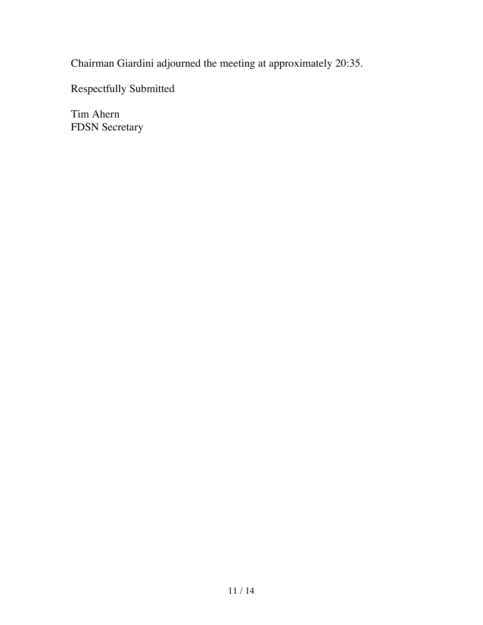Chairman Giardini adjourned the meeting at approximately 20:35.

Respectfully Submitted

Tim Ahern FDSN Secretary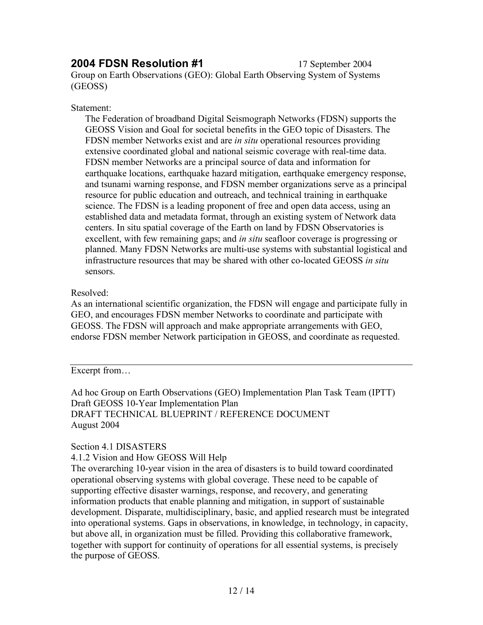# **2004 FDSN Resolution #1** 17 September 2004

Group on Earth Observations (GEO): Global Earth Observing System of Systems (GEOSS)

#### Statement:

The Federation of broadband Digital Seismograph Networks (FDSN) supports the GEOSS Vision and Goal for societal benefits in the GEO topic of Disasters. The FDSN member Networks exist and are *in situ* operational resources providing extensive coordinated global and national seismic coverage with real-time data. FDSN member Networks are a principal source of data and information for earthquake locations, earthquake hazard mitigation, earthquake emergency response, and tsunami warning response, and FDSN member organizations serve as a principal resource for public education and outreach, and technical training in earthquake science. The FDSN is a leading proponent of free and open data access, using an established data and metadata format, through an existing system of Network data centers. In situ spatial coverage of the Earth on land by FDSN Observatories is excellent, with few remaining gaps; and *in situ* seafloor coverage is progressing or planned. Many FDSN Networks are multi-use systems with substantial logistical and infrastructure resources that may be shared with other co-located GEOSS *in situ*  sensors.

#### Resolved:

As an international scientific organization, the FDSN will engage and participate fully in GEO, and encourages FDSN member Networks to coordinate and participate with GEOSS. The FDSN will approach and make appropriate arrangements with GEO, endorse FDSN member Network participation in GEOSS, and coordinate as requested.

Excerpt from…

Ad hoc Group on Earth Observations (GEO) Implementation Plan Task Team (IPTT) Draft GEOSS 10-Year Implementation Plan DRAFT TECHNICAL BLUEPRINT / REFERENCE DOCUMENT August 2004

#### Section 4.1 DISASTERS

4.1.2 Vision and How GEOSS Will Help

The overarching 10-year vision in the area of disasters is to build toward coordinated operational observing systems with global coverage. These need to be capable of supporting effective disaster warnings, response, and recovery, and generating information products that enable planning and mitigation, in support of sustainable development. Disparate, multidisciplinary, basic, and applied research must be integrated into operational systems. Gaps in observations, in knowledge, in technology, in capacity, but above all, in organization must be filled. Providing this collaborative framework, together with support for continuity of operations for all essential systems, is precisely the purpose of GEOSS.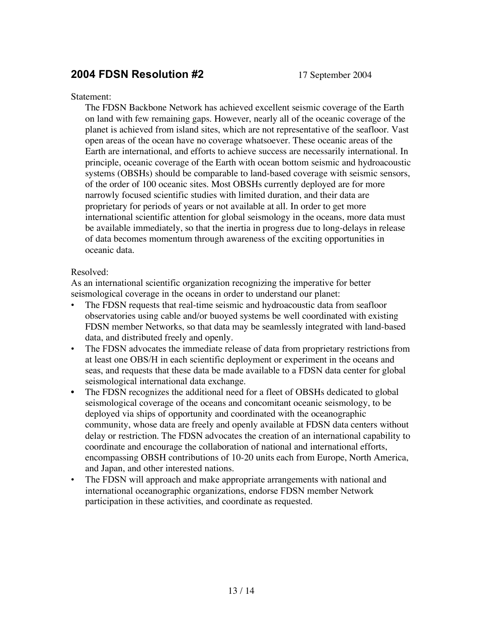# **2004 FDSN Resolution #2** 17 September 2004

#### Statement:

The FDSN Backbone Network has achieved excellent seismic coverage of the Earth on land with few remaining gaps. However, nearly all of the oceanic coverage of the planet is achieved from island sites, which are not representative of the seafloor. Vast open areas of the ocean have no coverage whatsoever. These oceanic areas of the Earth are international, and efforts to achieve success are necessarily international. In principle, oceanic coverage of the Earth with ocean bottom seismic and hydroacoustic systems (OBSHs) should be comparable to land-based coverage with seismic sensors, of the order of 100 oceanic sites. Most OBSHs currently deployed are for more narrowly focused scientific studies with limited duration, and their data are proprietary for periods of years or not available at all. In order to get more international scientific attention for global seismology in the oceans, more data must be available immediately, so that the inertia in progress due to long-delays in release of data becomes momentum through awareness of the exciting opportunities in oceanic data.

#### Resolved:

As an international scientific organization recognizing the imperative for better seismological coverage in the oceans in order to understand our planet:

- The FDSN requests that real-time seismic and hydroacoustic data from seafloor observatories using cable and/or buoyed systems be well coordinated with existing FDSN member Networks, so that data may be seamlessly integrated with land-based data, and distributed freely and openly.
- The FDSN advocates the immediate release of data from proprietary restrictions from at least one OBS/H in each scientific deployment or experiment in the oceans and seas, and requests that these data be made available to a FDSN data center for global seismological international data exchange.
- The FDSN recognizes the additional need for a fleet of OBSHs dedicated to global seismological coverage of the oceans and concomitant oceanic seismology, to be deployed via ships of opportunity and coordinated with the oceanographic community, whose data are freely and openly available at FDSN data centers without delay or restriction. The FDSN advocates the creation of an international capability to coordinate and encourage the collaboration of national and international efforts, encompassing OBSH contributions of 10-20 units each from Europe, North America, and Japan, and other interested nations.
- The FDSN will approach and make appropriate arrangements with national and international oceanographic organizations, endorse FDSN member Network participation in these activities, and coordinate as requested.